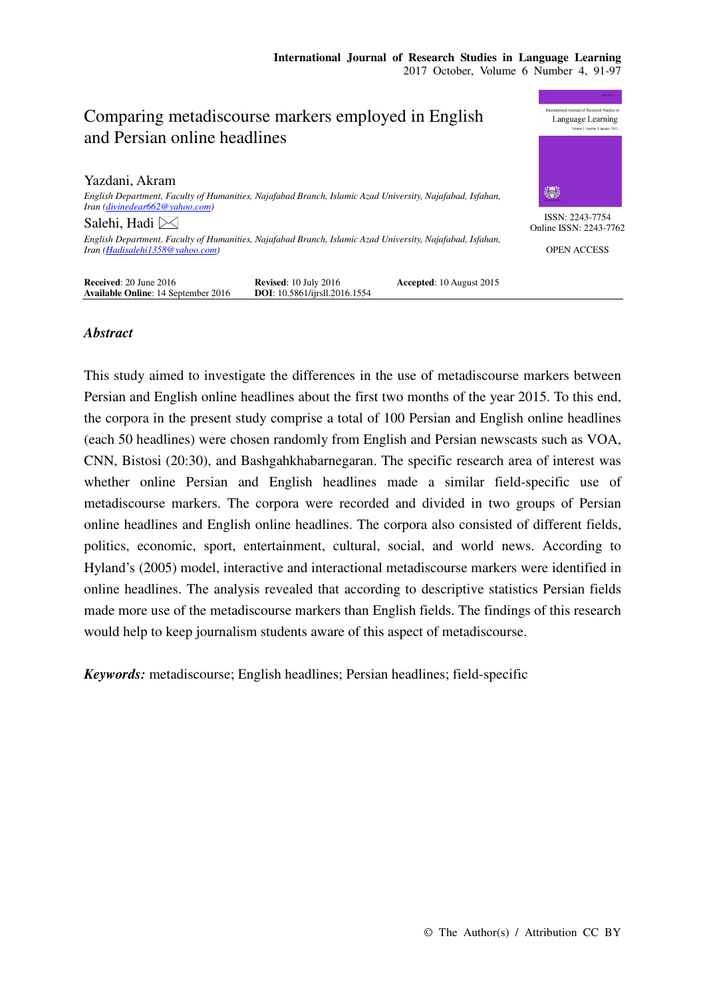# Comparing metadiscourse markers employed in English and Persian online headlines

Yazdani, Akram *English Department, Faculty of Humanities, Najafabad Branch, Islamic Azad University, Najafabad, Isfahan, Iran (divinedear662@yahoo.com)*  Salehi, Hadi  $\geq$ *English Department, Faculty of Humanities, Najafabad Branch, Islamic Azad University, Najafabad, Isfahan, Iran (Hadisalehi1358@yahoo.com)* 



ISSN: 2243-7754 Online ISSN: 2243-7762

OPEN ACCESS

| <b>Received:</b> $20$ June $2016$          | <b>Revised:</b> $10$ July $2016$     | Accepted: 10 August 2015 |
|--------------------------------------------|--------------------------------------|--------------------------|
| <b>Available Online: 14 September 2016</b> | <b>DOI:</b> 10.5861/ijrsll.2016.1554 |                          |

## *Abstract*

This study aimed to investigate the differences in the use of metadiscourse markers between Persian and English online headlines about the first two months of the year 2015. To this end, the corpora in the present study comprise a total of 100 Persian and English online headlines (each 50 headlines) were chosen randomly from English and Persian newscasts such as VOA, CNN, Bistosi (20:30), and Bashgahkhabarnegaran. The specific research area of interest was whether online Persian and English headlines made a similar field-specific use of metadiscourse markers. The corpora were recorded and divided in two groups of Persian online headlines and English online headlines. The corpora also consisted of different fields, politics, economic, sport, entertainment, cultural, social, and world news. According to Hyland's (2005) model, interactive and interactional metadiscourse markers were identified in online headlines. The analysis revealed that according to descriptive statistics Persian fields made more use of the metadiscourse markers than English fields. The findings of this research would help to keep journalism students aware of this aspect of metadiscourse.

*Keywords:* metadiscourse; English headlines; Persian headlines; field-specific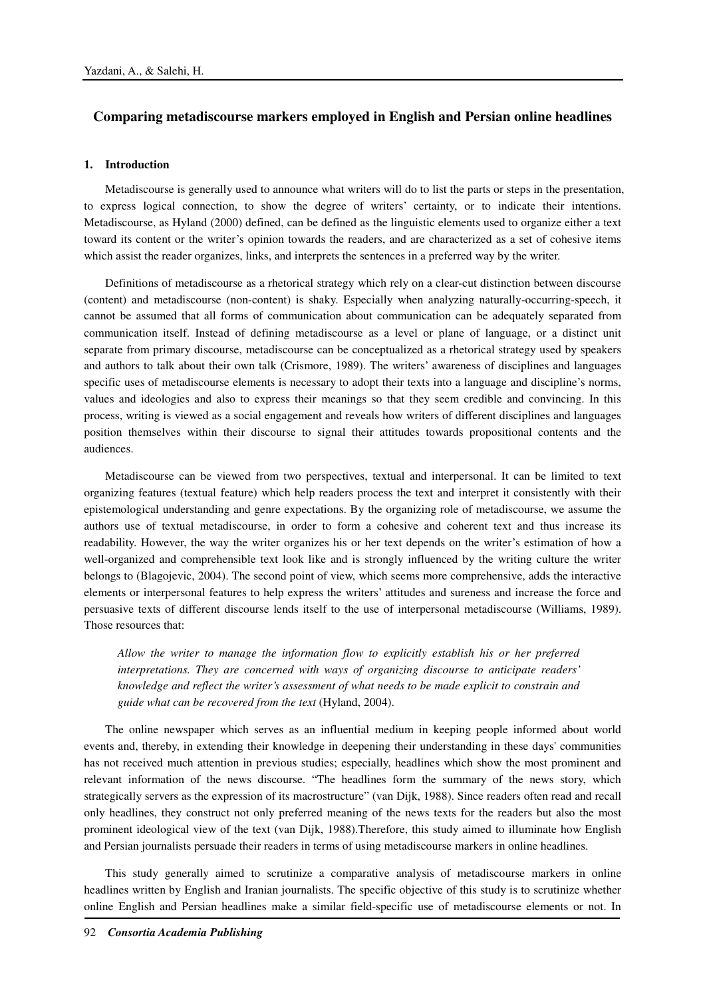# **Comparing metadiscourse markers employed in English and Persian online headlines**

### **1. Introduction**

Metadiscourse is generally used to announce what writers will do to list the parts or steps in the presentation, to express logical connection, to show the degree of writers' certainty, or to indicate their intentions. Metadiscourse, as Hyland (2000) defined, can be defined as the linguistic elements used to organize either a text toward its content or the writer's opinion towards the readers, and are characterized as a set of cohesive items which assist the reader organizes, links, and interprets the sentences in a preferred way by the writer.

Definitions of metadiscourse as a rhetorical strategy which rely on a clear-cut distinction between discourse (content) and metadiscourse (non-content) is shaky. Especially when analyzing naturally-occurring-speech, it cannot be assumed that all forms of communication about communication can be adequately separated from communication itself. Instead of defining metadiscourse as a level or plane of language, or a distinct unit separate from primary discourse, metadiscourse can be conceptualized as a rhetorical strategy used by speakers and authors to talk about their own talk (Crismore, 1989). The writers' awareness of disciplines and languages specific uses of metadiscourse elements is necessary to adopt their texts into a language and discipline's norms, values and ideologies and also to express their meanings so that they seem credible and convincing. In this process, writing is viewed as a social engagement and reveals how writers of different disciplines and languages position themselves within their discourse to signal their attitudes towards propositional contents and the audiences.

Metadiscourse can be viewed from two perspectives, textual and interpersonal. It can be limited to text organizing features (textual feature) which help readers process the text and interpret it consistently with their epistemological understanding and genre expectations. By the organizing role of metadiscourse, we assume the authors use of textual metadiscourse, in order to form a cohesive and coherent text and thus increase its readability. However, the way the writer organizes his or her text depends on the writer's estimation of how a well-organized and comprehensible text look like and is strongly influenced by the writing culture the writer belongs to (Blagojevic, 2004). The second point of view, which seems more comprehensive, adds the interactive elements or interpersonal features to help express the writers' attitudes and sureness and increase the force and persuasive texts of different discourse lends itself to the use of interpersonal metadiscourse (Williams, 1989). Those resources that:

*Allow the writer to manage the information flow to explicitly establish his or her preferred interpretations. They are concerned with ways of organizing discourse to anticipate readers' knowledge and reflect the writer's assessment of what needs to be made explicit to constrain and guide what can be recovered from the text* (Hyland, 2004).

The online newspaper which serves as an influential medium in keeping people informed about world events and, thereby, in extending their knowledge in deepening their understanding in these days' communities has not received much attention in previous studies; especially, headlines which show the most prominent and relevant information of the news discourse. "The headlines form the summary of the news story, which strategically servers as the expression of its macrostructure" (van Dijk, 1988). Since readers often read and recall only headlines, they construct not only preferred meaning of the news texts for the readers but also the most prominent ideological view of the text (van Dijk, 1988).Therefore, this study aimed to illuminate how English and Persian journalists persuade their readers in terms of using metadiscourse markers in online headlines.

This study generally aimed to scrutinize a comparative analysis of metadiscourse markers in online headlines written by English and Iranian journalists. The specific objective of this study is to scrutinize whether online English and Persian headlines make a similar field-specific use of metadiscourse elements or not. In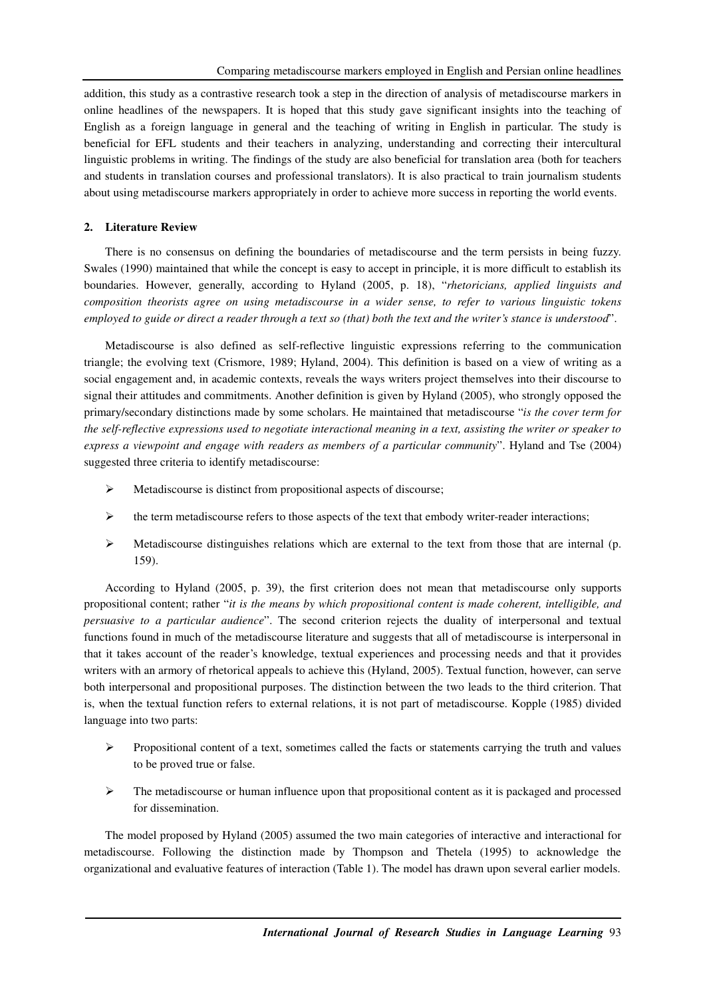addition, this study as a contrastive research took a step in the direction of analysis of metadiscourse markers in online headlines of the newspapers. It is hoped that this study gave significant insights into the teaching of English as a foreign language in general and the teaching of writing in English in particular. The study is beneficial for EFL students and their teachers in analyzing, understanding and correcting their intercultural linguistic problems in writing. The findings of the study are also beneficial for translation area (both for teachers and students in translation courses and professional translators). It is also practical to train journalism students about using metadiscourse markers appropriately in order to achieve more success in reporting the world events.

## **2. Literature Review**

There is no consensus on defining the boundaries of metadiscourse and the term persists in being fuzzy. Swales (1990) maintained that while the concept is easy to accept in principle, it is more difficult to establish its boundaries. However, generally, according to Hyland (2005, p. 18), "*rhetoricians, applied linguists and composition theorists agree on using metadiscourse in a wider sense, to refer to various linguistic tokens employed to guide or direct a reader through a text so (that) both the text and the writer's stance is understood*".

Metadiscourse is also defined as self-reflective linguistic expressions referring to the communication triangle; the evolving text (Crismore, 1989; Hyland, 2004). This definition is based on a view of writing as a social engagement and, in academic contexts, reveals the ways writers project themselves into their discourse to signal their attitudes and commitments. Another definition is given by Hyland (2005), who strongly opposed the primary/secondary distinctions made by some scholars. He maintained that metadiscourse "*is the cover term for the self-reflective expressions used to negotiate interactional meaning in a text, assisting the writer or speaker to express a viewpoint and engage with readers as members of a particular community*". Hyland and Tse (2004) suggested three criteria to identify metadiscourse:

- $\triangleright$  Metadiscourse is distinct from propositional aspects of discourse;
- $\triangleright$  the term metadiscourse refers to those aspects of the text that embody writer-reader interactions;
- Metadiscourse distinguishes relations which are external to the text from those that are internal (p. 159).

According to Hyland (2005, p. 39), the first criterion does not mean that metadiscourse only supports propositional content; rather "*it is the means by which propositional content is made coherent, intelligible, and persuasive to a particular audience*". The second criterion rejects the duality of interpersonal and textual functions found in much of the metadiscourse literature and suggests that all of metadiscourse is interpersonal in that it takes account of the reader's knowledge, textual experiences and processing needs and that it provides writers with an armory of rhetorical appeals to achieve this (Hyland, 2005). Textual function, however, can serve both interpersonal and propositional purposes. The distinction between the two leads to the third criterion. That is, when the textual function refers to external relations, it is not part of metadiscourse. Kopple (1985) divided language into two parts:

- $\triangleright$  Propositional content of a text, sometimes called the facts or statements carrying the truth and values to be proved true or false.
- $\triangleright$  The metadiscourse or human influence upon that propositional content as it is packaged and processed for dissemination.

The model proposed by Hyland (2005) assumed the two main categories of interactive and interactional for metadiscourse. Following the distinction made by Thompson and Thetela (1995) to acknowledge the organizational and evaluative features of interaction (Table 1). The model has drawn upon several earlier models.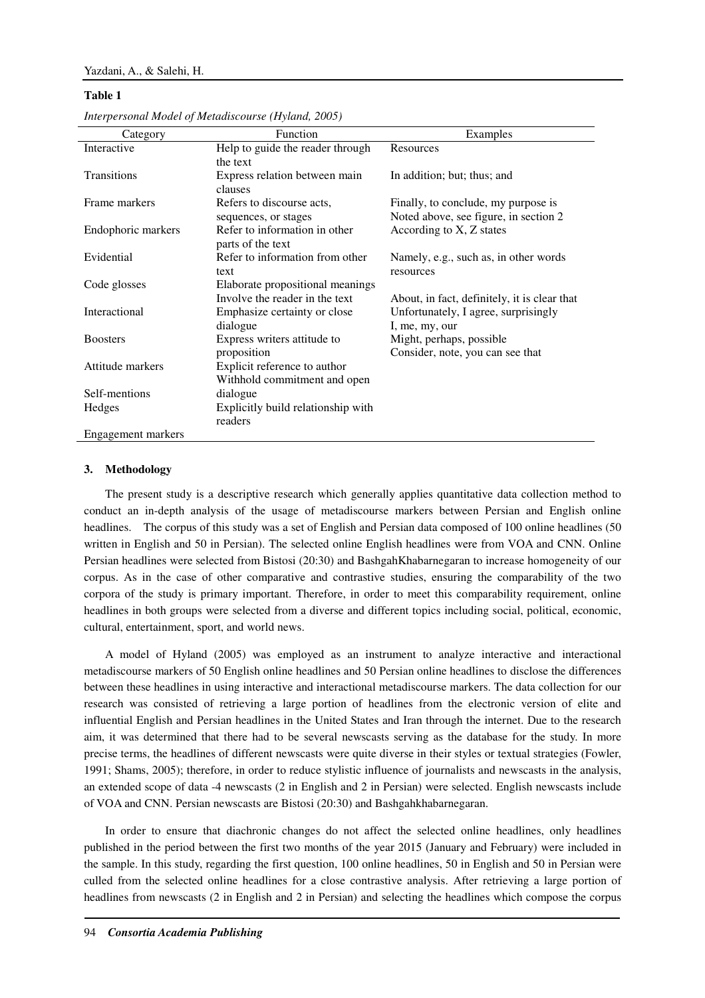#### **Table 1**

| Category           | Function                                                           | Examples                                                                     |
|--------------------|--------------------------------------------------------------------|------------------------------------------------------------------------------|
| Interactive        | Help to guide the reader through<br>the text                       | Resources                                                                    |
| <b>Transitions</b> | Express relation between main<br>clauses                           | In addition; but; thus; and                                                  |
| Frame markers      | Refers to discourse acts,<br>sequences, or stages                  | Finally, to conclude, my purpose is<br>Noted above, see figure, in section 2 |
| Endophoric markers | Refer to information in other<br>parts of the text                 | According to X, Z states                                                     |
| Evidential         | Refer to information from other<br>text                            | Namely, e.g., such as, in other words<br>resources                           |
| Code glosses       | Elaborate propositional meanings<br>Involve the reader in the text | About, in fact, definitely, it is clear that                                 |
| Interactional      | Emphasize certainty or close<br>dialogue                           | Unfortunately, I agree, surprisingly<br>I, me, my, our                       |
| <b>Boosters</b>    | Express writers attitude to<br>proposition                         | Might, perhaps, possible<br>Consider, note, you can see that                 |
| Attitude markers   | Explicit reference to author<br>Withhold commitment and open       |                                                                              |
| Self-mentions      | dialogue                                                           |                                                                              |
| Hedges             | Explicitly build relationship with<br>readers                      |                                                                              |
| Engagement markers |                                                                    |                                                                              |

*Interpersonal Model of Metadiscourse (Hyland, 2005)*

#### **3. Methodology**

The present study is a descriptive research which generally applies quantitative data collection method to conduct an in-depth analysis of the usage of metadiscourse markers between Persian and English online headlines. The corpus of this study was a set of English and Persian data composed of 100 online headlines (50 written in English and 50 in Persian). The selected online English headlines were from VOA and CNN. Online Persian headlines were selected from Bistosi (20:30) and BashgahKhabarnegaran to increase homogeneity of our corpus. As in the case of other comparative and contrastive studies, ensuring the comparability of the two corpora of the study is primary important. Therefore, in order to meet this comparability requirement, online headlines in both groups were selected from a diverse and different topics including social, political, economic, cultural, entertainment, sport, and world news.

A model of Hyland (2005) was employed as an instrument to analyze interactive and interactional metadiscourse markers of 50 English online headlines and 50 Persian online headlines to disclose the differences between these headlines in using interactive and interactional metadiscourse markers. The data collection for our research was consisted of retrieving a large portion of headlines from the electronic version of elite and influential English and Persian headlines in the United States and Iran through the internet. Due to the research aim, it was determined that there had to be several newscasts serving as the database for the study. In more precise terms, the headlines of different newscasts were quite diverse in their styles or textual strategies (Fowler, 1991; Shams, 2005); therefore, in order to reduce stylistic influence of journalists and newscasts in the analysis, an extended scope of data -4 newscasts (2 in English and 2 in Persian) were selected. English newscasts include of VOA and CNN. Persian newscasts are Bistosi (20:30) and Bashgahkhabarnegaran.

In order to ensure that diachronic changes do not affect the selected online headlines, only headlines published in the period between the first two months of the year 2015 (January and February) were included in the sample. In this study, regarding the first question, 100 online headlines, 50 in English and 50 in Persian were culled from the selected online headlines for a close contrastive analysis. After retrieving a large portion of headlines from newscasts (2 in English and 2 in Persian) and selecting the headlines which compose the corpus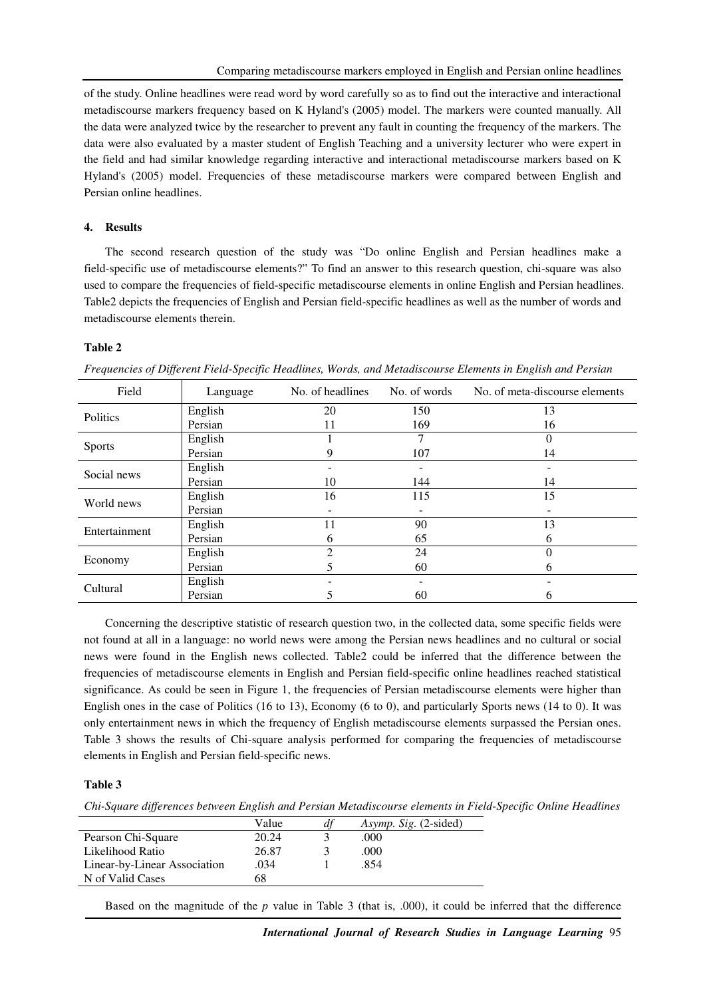of the study. Online headlines were read word by word carefully so as to find out the interactive and interactional metadiscourse markers frequency based on K Hyland's (2005) model. The markers were counted manually. All the data were analyzed twice by the researcher to prevent any fault in counting the frequency of the markers. The data were also evaluated by a master student of English Teaching and a university lecturer who were expert in the field and had similar knowledge regarding interactive and interactional metadiscourse markers based on K Hyland's (2005) model. Frequencies of these metadiscourse markers were compared between English and Persian online headlines.

## **4. Results**

The second research question of the study was "Do online English and Persian headlines make a field-specific use of metadiscourse elements?" To find an answer to this research question, chi-square was also used to compare the frequencies of field-specific metadiscourse elements in online English and Persian headlines. Table2 depicts the frequencies of English and Persian field-specific headlines as well as the number of words and metadiscourse elements therein.

#### **Table 2**

| Field         | Language | No. of headlines | No. of words | No. of meta-discourse elements |
|---------------|----------|------------------|--------------|--------------------------------|
| Politics      | English  | 20               | 150          | 13                             |
|               | Persian  | 11               | 169          | 16                             |
| <b>Sports</b> | English  |                  | 7            |                                |
|               | Persian  |                  | 107          | 14                             |
| Social news   | English  |                  |              |                                |
|               | Persian  | 10               | 144          | 14                             |
| World news    | English  | 16               | 115          | 15                             |
|               | Persian  |                  |              |                                |
| Entertainment | English  | 11               | 90           | 13                             |
|               | Persian  | <sub>(</sub>     | 65           | <sub>6</sub>                   |
| Economy       | English  | 2                | 24           |                                |
|               | Persian  |                  | 60           | h                              |
| Cultural      | English  |                  |              |                                |
|               | Persian  |                  | 60           | 6                              |

*Frequencies of Different Field-Specific Headlines, Words, and Metadiscourse Elements in English and Persian* 

Concerning the descriptive statistic of research question two, in the collected data, some specific fields were not found at all in a language: no world news were among the Persian news headlines and no cultural or social news were found in the English news collected. Table2 could be inferred that the difference between the frequencies of metadiscourse elements in English and Persian field-specific online headlines reached statistical significance. As could be seen in Figure 1, the frequencies of Persian metadiscourse elements were higher than English ones in the case of Politics (16 to 13), Economy (6 to 0), and particularly Sports news (14 to 0). It was only entertainment news in which the frequency of English metadiscourse elements surpassed the Persian ones. Table 3 shows the results of Chi-square analysis performed for comparing the frequencies of metadiscourse elements in English and Persian field-specific news.

## **Table 3**

*Chi-Square differences between English and Persian Metadiscourse elements in Field-Specific Online Headlines* 

|                              | Value | Asymp. Sig. (2-sided) |
|------------------------------|-------|-----------------------|
| Pearson Chi-Square           | 20.24 | .000.                 |
| Likelihood Ratio             | 26.87 | .000                  |
| Linear-by-Linear Association | .034  | .854                  |
| N of Valid Cases             | 68    |                       |

Based on the magnitude of the *p* value in Table 3 (that is, .000), it could be inferred that the difference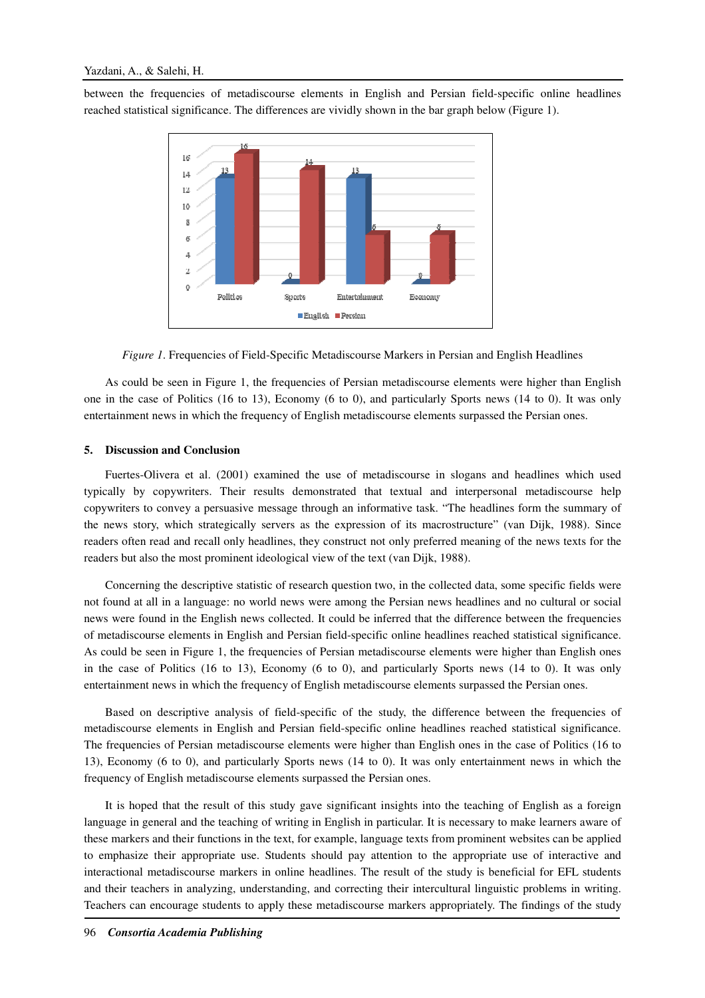between the frequencies of metadiscourse elements in English and Persian field-specific online headlines reached statistical significance. The differences are vividly shown in the bar graph below (Figure 1).



*Figure 1*. Frequencies of Field-Specific Metadiscourse Markers in Persian and English Headlines

As could be seen in Figure 1, the frequencies of Persian metadiscourse elements were higher than English one in the case of Politics (16 to 13), Economy (6 to 0), and particularly Sports news (14 to 0). It was only entertainment news in which the frequency of English metadiscourse elements surpassed the Persian ones.

#### **5. Discussion and Conclusion**

Fuertes-Olivera et al. (2001) examined the use of metadiscourse in slogans and headlines which used typically by copywriters. Their results demonstrated that textual and interpersonal metadiscourse help copywriters to convey a persuasive message through an informative task. "The headlines form the summary of the news story, which strategically servers as the expression of its macrostructure" (van Dijk, 1988). Since readers often read and recall only headlines, they construct not only preferred meaning of the news texts for the readers but also the most prominent ideological view of the text (van Dijk, 1988).

Concerning the descriptive statistic of research question two, in the collected data, some specific fields were not found at all in a language: no world news were among the Persian news headlines and no cultural or social news were found in the English news collected. It could be inferred that the difference between the frequencies of metadiscourse elements in English and Persian field-specific online headlines reached statistical significance. As could be seen in Figure 1, the frequencies of Persian metadiscourse elements were higher than English ones in the case of Politics (16 to 13), Economy (6 to 0), and particularly Sports news (14 to 0). It was only entertainment news in which the frequency of English metadiscourse elements surpassed the Persian ones.

Based on descriptive analysis of field-specific of the study, the difference between the frequencies of metadiscourse elements in English and Persian field-specific online headlines reached statistical significance. The frequencies of Persian metadiscourse elements were higher than English ones in the case of Politics (16 to 13), Economy (6 to 0), and particularly Sports news (14 to 0). It was only entertainment news in which the frequency of English metadiscourse elements surpassed the Persian ones.

It is hoped that the result of this study gave significant insights into the teaching of English as a foreign language in general and the teaching of writing in English in particular. It is necessary to make learners aware of these markers and their functions in the text, for example, language texts from prominent websites can be applied to emphasize their appropriate use. Students should pay attention to the appropriate use of interactive and interactional metadiscourse markers in online headlines. The result of the study is beneficial for EFL students and their teachers in analyzing, understanding, and correcting their intercultural linguistic problems in writing. Teachers can encourage students to apply these metadiscourse markers appropriately. The findings of the study